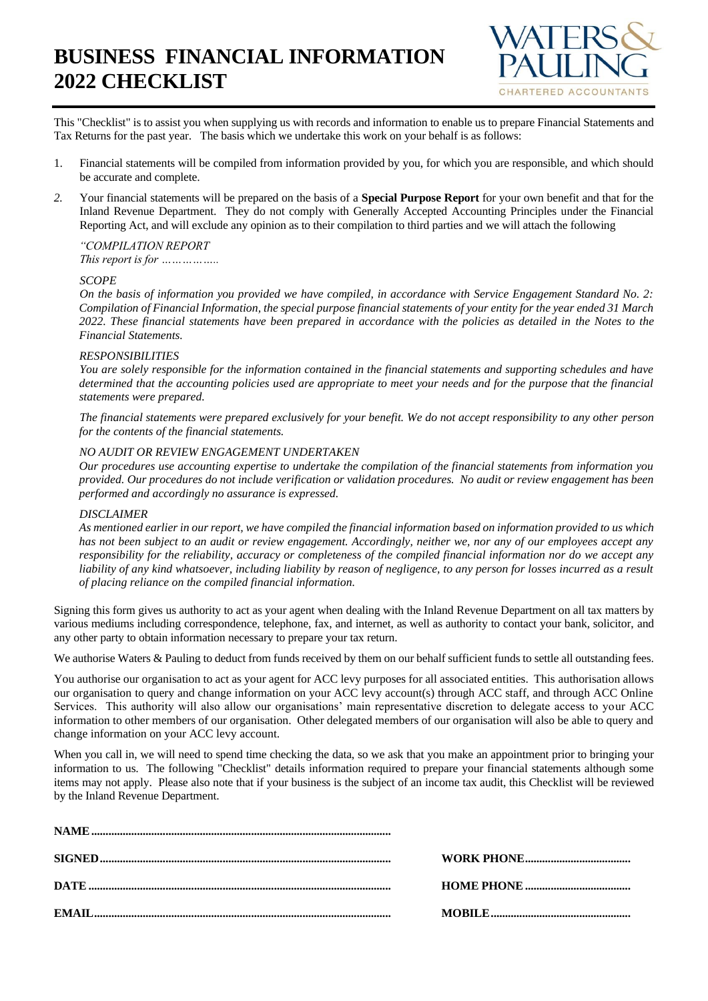# **BUSINESS FINANCIAL INFORMATION 2022 CHECKLIST**



This "Checklist" is to assist you when supplying us with records and information to enable us to prepare Financial Statements and Tax Returns for the past year. The basis which we undertake this work on your behalf is as follows:

- 1. Financial statements will be compiled from information provided by you, for which you are responsible, and which should be accurate and complete.
- *2.* Your financial statements will be prepared on the basis of a **Special Purpose Report** for your own benefit and that for the Inland Revenue Department. They do not comply with Generally Accepted Accounting Principles under the Financial Reporting Act, and will exclude any opinion as to their compilation to third parties and we will attach the following

# *"COMPILATION REPORT*

*This report is for ……………..*

# *SCOPE*

*On the basis of information you provided we have compiled, in accordance with Service Engagement Standard No. 2: Compilation of Financial Information, the special purpose financial statements of your entity for the year ended 31 March 2022. These financial statements have been prepared in accordance with the policies as detailed in the Notes to the Financial Statements.*

# *RESPONSIBILITIES*

*You are solely responsible for the information contained in the financial statements and supporting schedules and have determined that the accounting policies used are appropriate to meet your needs and for the purpose that the financial statements were prepared.*

*The financial statements were prepared exclusively for your benefit. We do not accept responsibility to any other person for the contents of the financial statements.*

#### *NO AUDIT OR REVIEW ENGAGEMENT UNDERTAKEN*

*Our procedures use accounting expertise to undertake the compilation of the financial statements from information you provided. Our procedures do not include verification or validation procedures. No audit or review engagement has been performed and accordingly no assurance is expressed.*

#### *DISCLAIMER*

*As mentioned earlier in our report, we have compiled the financial information based on information provided to us which has not been subject to an audit or review engagement. Accordingly, neither we, nor any of our employees accept any responsibility for the reliability, accuracy or completeness of the compiled financial information nor do we accept any liability of any kind whatsoever, including liability by reason of negligence, to any person for losses incurred as a result of placing reliance on the compiled financial information.*

Signing this form gives us authority to act as your agent when dealing with the Inland Revenue Department on all tax matters by various mediums including correspondence, telephone, fax, and internet, as well as authority to contact your bank, solicitor, and any other party to obtain information necessary to prepare your tax return.

We authorise Waters & Pauling to deduct from funds received by them on our behalf sufficient funds to settle all outstanding fees.

You authorise our organisation to act as your agent for ACC levy purposes for all associated entities. This authorisation allows our organisation to query and change information on your ACC levy account(s) through ACC staff, and through ACC Online Services. This authority will also allow our organisations' main representative discretion to delegate access to your ACC information to other members of our organisation. Other delegated members of our organisation will also be able to query and change information on your ACC levy account.

When you call in, we will need to spend time checking the data, so we ask that you make an appointment prior to bringing your information to us. The following "Checklist" details information required to prepare your financial statements although some items may not apply. Please also note that if your business is the subject of an income tax audit, this Checklist will be reviewed by the Inland Revenue Department.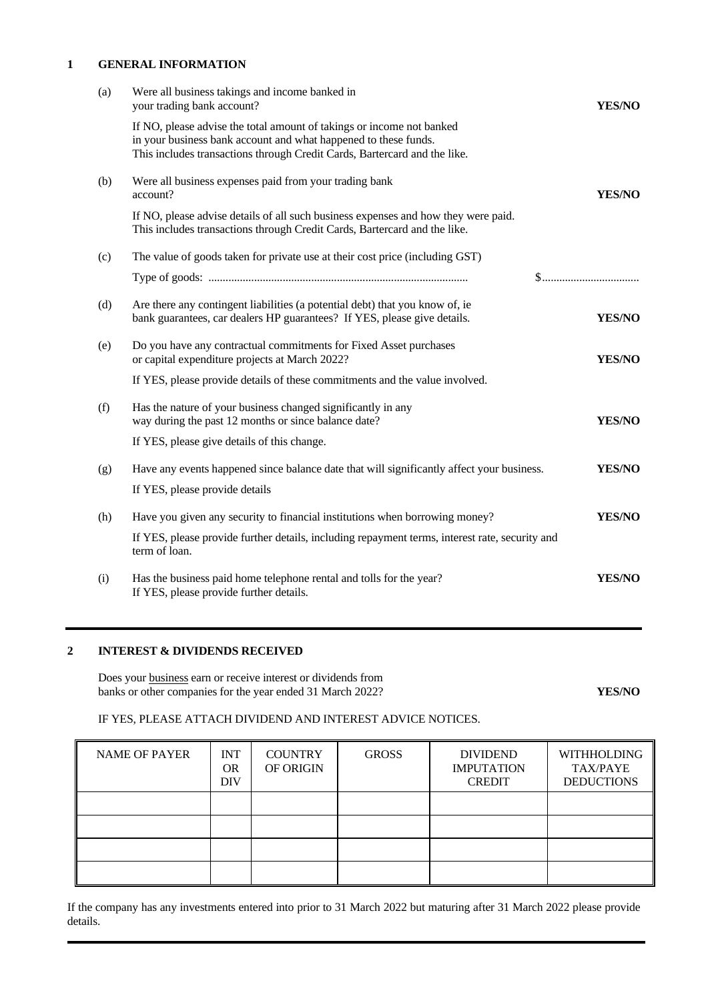#### **1 GENERAL INFORMATION**

| (a) | Were all business takings and income banked in<br>your trading bank account?                                                                                                                                          | <b>YES/NO</b>                                                    |
|-----|-----------------------------------------------------------------------------------------------------------------------------------------------------------------------------------------------------------------------|------------------------------------------------------------------|
|     | If NO, please advise the total amount of takings or income not banked<br>in your business bank account and what happened to these funds.<br>This includes transactions through Credit Cards, Bartercard and the like. |                                                                  |
| (b) | Were all business expenses paid from your trading bank<br>account?                                                                                                                                                    | YES/NO                                                           |
|     | If NO, please advise details of all such business expenses and how they were paid.<br>This includes transactions through Credit Cards, Bartercard and the like.                                                       |                                                                  |
| (c) | The value of goods taken for private use at their cost price (including GST)                                                                                                                                          |                                                                  |
|     |                                                                                                                                                                                                                       | $\$\ldots\ldots\ldots\ldots\ldots\ldots\ldots\ldots\ldots\ldots$ |
| (d) | Are there any contingent liabilities (a potential debt) that you know of, ie<br>bank guarantees, car dealers HP guarantees? If YES, please give details.                                                              | <b>YES/NO</b>                                                    |
| (e) | Do you have any contractual commitments for Fixed Asset purchases<br>or capital expenditure projects at March 2022?                                                                                                   | <b>YES/NO</b>                                                    |
|     | If YES, please provide details of these commitments and the value involved.                                                                                                                                           |                                                                  |
| (f) | Has the nature of your business changed significantly in any<br>way during the past 12 months or since balance date?                                                                                                  | YES/NO                                                           |
|     | If YES, please give details of this change.                                                                                                                                                                           |                                                                  |
| (g) | Have any events happened since balance date that will significantly affect your business.                                                                                                                             | <b>YES/NO</b>                                                    |
|     | If YES, please provide details                                                                                                                                                                                        |                                                                  |
| (h) | Have you given any security to financial institutions when borrowing money?                                                                                                                                           | <b>YES/NO</b>                                                    |
|     | If YES, please provide further details, including repayment terms, interest rate, security and<br>term of loan.                                                                                                       |                                                                  |
| (i) | Has the business paid home telephone rental and tolls for the year?<br>If YES, please provide further details.                                                                                                        | <b>YES/NO</b>                                                    |
|     |                                                                                                                                                                                                                       |                                                                  |

# **2 INTEREST & DIVIDENDS RECEIVED**

Does your business earn or receive interest or dividends from banks or other companies for the year ended 31 March 2022? **YES/NO**

# IF YES, PLEASE ATTACH DIVIDEND AND INTEREST ADVICE NOTICES.

| <b>NAME OF PAYER</b> | <b>INT</b><br><b>OR</b><br><b>DIV</b> | <b>COUNTRY</b><br>OF ORIGIN | <b>GROSS</b> | <b>DIVIDEND</b><br><b>IMPUTATION</b><br><b>CREDIT</b> | <b>WITHHOLDING</b><br><b>TAX/PAYE</b><br><b>DEDUCTIONS</b> |
|----------------------|---------------------------------------|-----------------------------|--------------|-------------------------------------------------------|------------------------------------------------------------|
|                      |                                       |                             |              |                                                       |                                                            |
|                      |                                       |                             |              |                                                       |                                                            |
|                      |                                       |                             |              |                                                       |                                                            |
|                      |                                       |                             |              |                                                       |                                                            |

If the company has any investments entered into prior to 31 March 2022 but maturing after 31 March 2022 please provide details.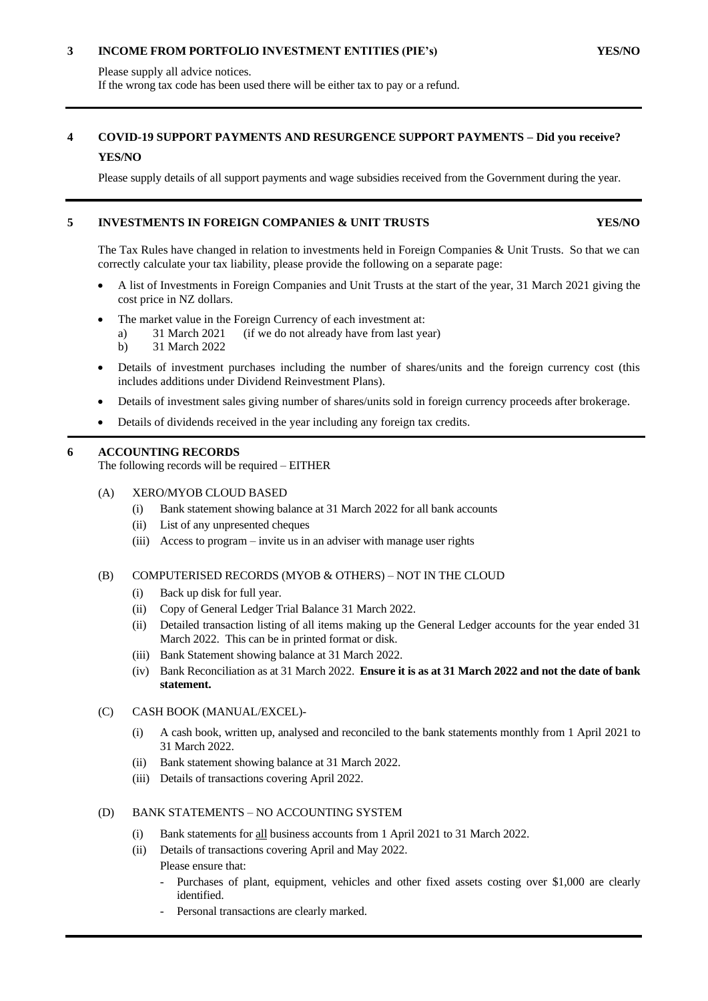# **3 INCOME FROM PORTFOLIO INVESTMENT ENTITIES (PIE's) YES/NO**

Please supply all advice notices. If the wrong tax code has been used there will be either tax to pay or a refund.

# **4 COVID-19 SUPPORT PAYMENTS AND RESURGENCE SUPPORT PAYMENTS – Did you receive? YES/NO**

Please supply details of all support payments and wage subsidies received from the Government during the year.

# **5 INVESTMENTS IN FOREIGN COMPANIES & UNIT TRUSTS YES/NO**

The Tax Rules have changed in relation to investments held in Foreign Companies & Unit Trusts. So that we can correctly calculate your tax liability, please provide the following on a separate page:

- A list of Investments in Foreign Companies and Unit Trusts at the start of the year, 31 March 2021 giving the cost price in NZ dollars.
- The market value in the Foreign Currency of each investment at:
	- a) 31 March 2021 (if we do not already have from last year)

b) 31 March 2022

- Details of investment purchases including the number of shares/units and the foreign currency cost (this includes additions under Dividend Reinvestment Plans).
- Details of investment sales giving number of shares/units sold in foreign currency proceeds after brokerage.
- Details of dividends received in the year including any foreign tax credits.

# **6 ACCOUNTING RECORDS**

The following records will be required – EITHER

- (A) XERO/MYOB CLOUD BASED
	- (i) Bank statement showing balance at 31 March 2022 for all bank accounts
	- (ii) List of any unpresented cheques
	- (iii) Access to program invite us in an adviser with manage user rights

#### (B) COMPUTERISED RECORDS (MYOB & OTHERS) – NOT IN THE CLOUD

- (i) Back up disk for full year.
- (ii) Copy of General Ledger Trial Balance 31 March 2022.
- (ii) Detailed transaction listing of all items making up the General Ledger accounts for the year ended 31 March 2022. This can be in printed format or disk.
- (iii) Bank Statement showing balance at 31 March 2022.
- (iv) Bank Reconciliation as at 31 March 2022. **Ensure it is as at 31 March 2022 and not the date of bank statement.**

#### (C) CASH BOOK (MANUAL/EXCEL)-

- (i) A cash book, written up, analysed and reconciled to the bank statements monthly from 1 April 2021 to 31 March 2022.
- (ii) Bank statement showing balance at 31 March 2022.
- (iii) Details of transactions covering April 2022.

# (D) BANK STATEMENTS – NO ACCOUNTING SYSTEM

- (i) Bank statements for all business accounts from 1 April 2021 to 31 March 2022.
- (ii) Details of transactions covering April and May 2022. Please ensure that:
	- Purchases of plant, equipment, vehicles and other fixed assets costing over \$1,000 are clearly identified.
	- Personal transactions are clearly marked.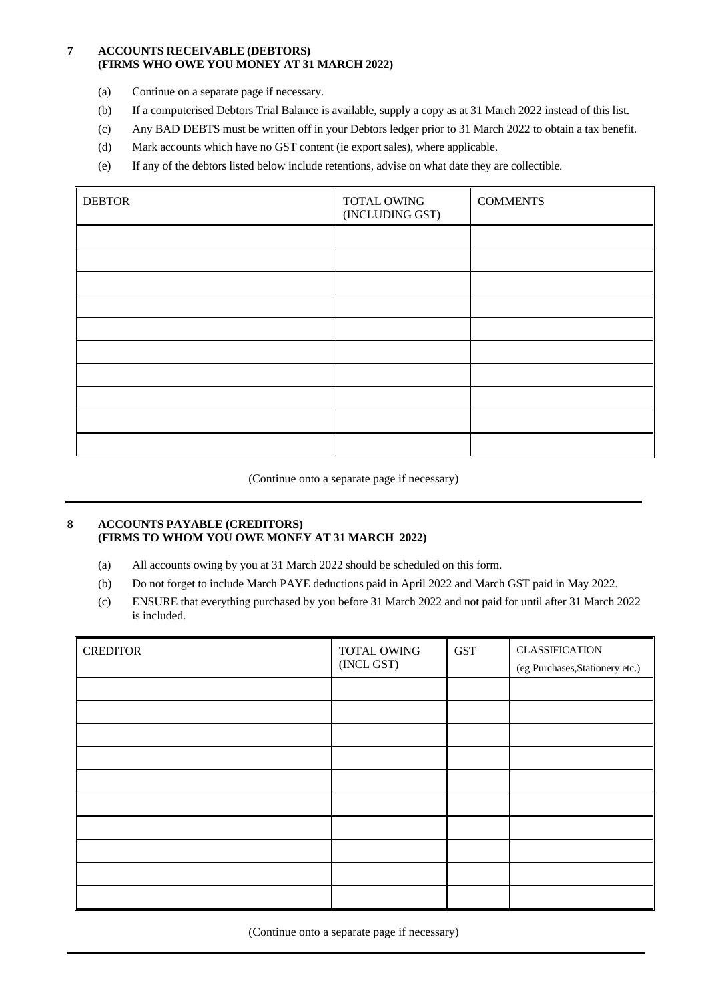# **7 ACCOUNTS RECEIVABLE (DEBTORS) (FIRMS WHO OWE YOU MONEY AT 31 MARCH 2022)**

- (a) Continue on a separate page if necessary.
- (b) If a computerised Debtors Trial Balance is available, supply a copy as at 31 March 2022 instead of this list.
- (c) Any BAD DEBTS must be written off in your Debtors ledger prior to 31 March 2022 to obtain a tax benefit.
- (d) Mark accounts which have no GST content (ie export sales), where applicable.
- (e) If any of the debtors listed below include retentions, advise on what date they are collectible.

| <b>DEBTOR</b> | TOTAL OWING<br>(INCLUDING GST) | <b>COMMENTS</b> |
|---------------|--------------------------------|-----------------|
|               |                                |                 |
|               |                                |                 |
|               |                                |                 |
|               |                                |                 |
|               |                                |                 |
|               |                                |                 |
|               |                                |                 |
|               |                                |                 |
|               |                                |                 |
|               |                                |                 |

(Continue onto a separate page if necessary)

#### **8 ACCOUNTS PAYABLE (CREDITORS) (FIRMS TO WHOM YOU OWE MONEY AT 31 MARCH 2022)**

- (a) All accounts owing by you at 31 March 2022 should be scheduled on this form.
- (b) Do not forget to include March PAYE deductions paid in April 2022 and March GST paid in May 2022.
- (c) ENSURE that everything purchased by you before 31 March 2022 and not paid for until after 31 March 2022 is included.

| <b>CREDITOR</b> | TOTAL OWING<br>(INCL GST) | <b>GST</b> | <b>CLASSIFICATION</b><br>(eg Purchases, Stationery etc.) |
|-----------------|---------------------------|------------|----------------------------------------------------------|
|                 |                           |            |                                                          |
|                 |                           |            |                                                          |
|                 |                           |            |                                                          |
|                 |                           |            |                                                          |
|                 |                           |            |                                                          |
|                 |                           |            |                                                          |
|                 |                           |            |                                                          |
|                 |                           |            |                                                          |
|                 |                           |            |                                                          |
|                 |                           |            |                                                          |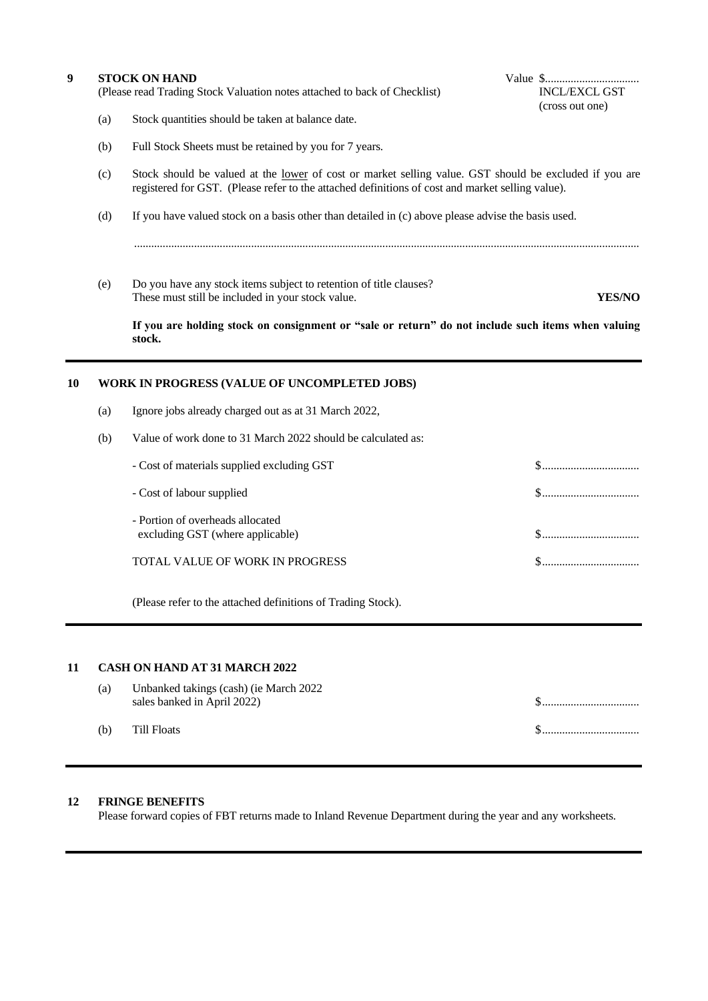| 9 | <b>STOCK ON HAND</b><br>(Please read Trading Stock Valuation notes attached to back of Checklist)           |                                                                                                                                                                                                            | <b>INCL/EXCL GST</b><br>(cross out one) |               |
|---|-------------------------------------------------------------------------------------------------------------|------------------------------------------------------------------------------------------------------------------------------------------------------------------------------------------------------------|-----------------------------------------|---------------|
|   | (a)                                                                                                         | Stock quantities should be taken at balance date.                                                                                                                                                          |                                         |               |
|   | (b)                                                                                                         | Full Stock Sheets must be retained by you for 7 years.                                                                                                                                                     |                                         |               |
|   | (c)                                                                                                         | Stock should be valued at the lower of cost or market selling value. GST should be excluded if you are<br>registered for GST. (Please refer to the attached definitions of cost and market selling value). |                                         |               |
|   | If you have valued stock on a basis other than detailed in $(c)$ above please advise the basis used.<br>(d) |                                                                                                                                                                                                            |                                         |               |
|   | (e)                                                                                                         | Do you have any stock items subject to retention of title clauses?<br>These must still be included in your stock value.                                                                                    |                                         | <b>YES/NO</b> |
|   |                                                                                                             | If you are holding stock on consignment or "sale or return" do not include such items when valuing<br>stock.                                                                                               |                                         |               |

# **10 WORK IN PROGRESS (VALUE OF UNCOMPLETED JOBS)**

- (a) Ignore jobs already charged out as at 31 March 2022,
- (b) Value of work done to 31 March 2022 should be calculated as:

| - Cost of materials supplied excluding GST                           |               |
|----------------------------------------------------------------------|---------------|
| - Cost of labour supplied                                            |               |
| - Portion of overheads allocated<br>excluding GST (where applicable) | $\mathcal{S}$ |
| TOTAL VALUE OF WORK IN PROGRESS                                      |               |

(Please refer to the attached definitions of Trading Stock).

#### **11 CASH ON HAND AT 31 MARCH 2022**

| (a) | Unbanked takings (cash) (ie March 2022<br>sales banked in April 2022) |  |
|-----|-----------------------------------------------------------------------|--|
| (b) | Till Floats                                                           |  |

# **12 FRINGE BENEFITS**

Please forward copies of FBT returns made to Inland Revenue Department during the year and any worksheets.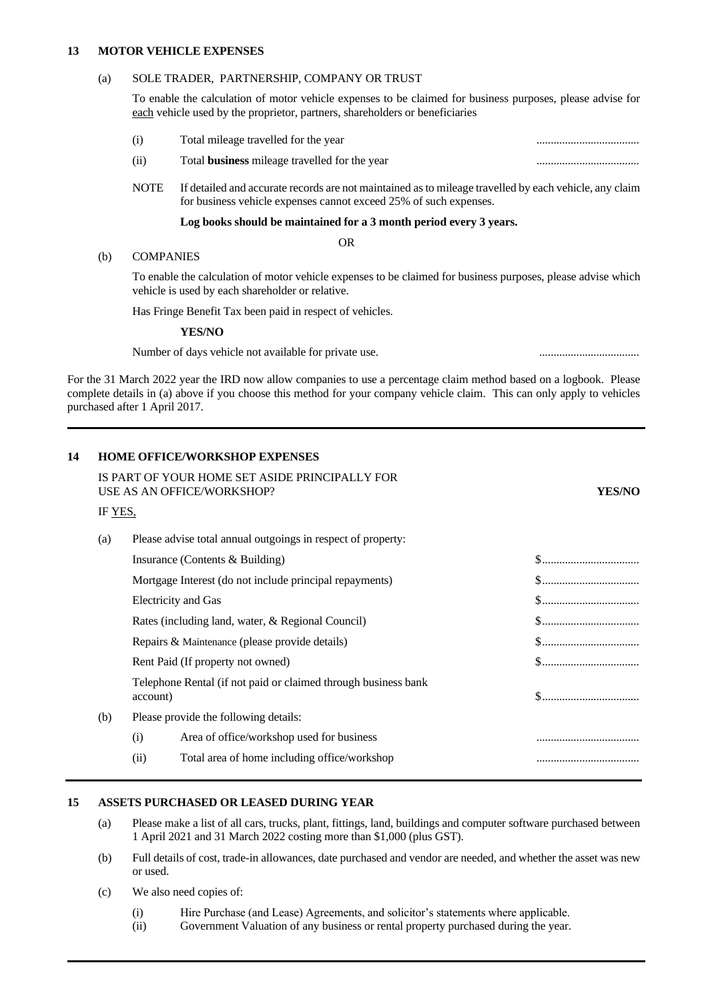#### **13 MOTOR VEHICLE EXPENSES**

#### (a) SOLE TRADER, PARTNERSHIP, COMPANY OR TRUST

To enable the calculation of motor vehicle expenses to be claimed for business purposes, please advise for each vehicle used by the proprietor, partners, shareholders or beneficiaries

- (i) Total mileage travelled for the year ....................................
- (ii) Total **business** mileage travelled for the year ....................................
- NOTE If detailed and accurate records are not maintained as to mileage travelled by each vehicle, any claim for business vehicle expenses cannot exceed 25% of such expenses.

#### **Log books should be maintained for a 3 month period every 3 years.**

OR

#### (b) COMPANIES

To enable the calculation of motor vehicle expenses to be claimed for business purposes, please advise which vehicle is used by each shareholder or relative.

Has Fringe Benefit Tax been paid in respect of vehicles.

**YES/NO**

Number of days vehicle not available for private use. ...................................

For the 31 March 2022 year the IRD now allow companies to use a percentage claim method based on a logbook. Please complete details in (a) above if you choose this method for your company vehicle claim. This can only apply to vehicles purchased after 1 April 2017.

#### **14 HOME OFFICE/WORKSHOP EXPENSES**

|         |          | IS PART OF YOUR HOME SET ASIDE PRINCIPALLY FOR<br>USE AS AN OFFICE/WORKSHOP? | YES/NO                                                                       |
|---------|----------|------------------------------------------------------------------------------|------------------------------------------------------------------------------|
| IF YES, |          |                                                                              |                                                                              |
| (a)     |          | Please advise total annual outgoings in respect of property:                 |                                                                              |
|         |          | Insurance (Contents & Building)                                              | $\$\ldots\ldots\ldots\ldots\ldots\ldots\ldots\ldots\ldots\ldots$             |
|         |          | Mortgage Interest (do not include principal repayments)                      | $\$\ldots\ldots\ldots\ldots\ldots\ldots\ldots\ldots\ldots\ldots\ldots\ldots$ |
|         |          | <b>Electricity and Gas</b>                                                   | $\$\ldots\ldots\ldots\ldots\ldots\ldots\ldots\ldots\ldots\ldots\ldots$       |
|         |          | Rates (including land, water, & Regional Council)                            |                                                                              |
|         |          | Repairs & Maintenance (please provide details)                               | $\$\ldots\ldots\ldots\ldots\ldots\ldots\ldots\ldots\ldots\ldots\ldots$       |
|         |          | Rent Paid (If property not owned)                                            | $\$\ldots\ldots\ldots\ldots\ldots\ldots\ldots\ldots\ldots\ldots$             |
|         | account) | Telephone Rental (if not paid or claimed through business bank               |                                                                              |
| (b)     |          | Please provide the following details:                                        |                                                                              |
|         | (i)      | Area of office/workshop used for business                                    |                                                                              |
|         | (ii)     | Total area of home including office/workshop                                 |                                                                              |

#### **15 ASSETS PURCHASED OR LEASED DURING YEAR**

- (a) Please make a list of all cars, trucks, plant, fittings, land, buildings and computer software purchased between 1 April 2021 and 31 March 2022 costing more than \$1,000 (plus GST).
- (b) Full details of cost, trade-in allowances, date purchased and vendor are needed, and whether the asset was new or used.
- (c) We also need copies of:
	- (i) Hire Purchase (and Lease) Agreements, and solicitor's statements where applicable.
	- (ii) Government Valuation of any business or rental property purchased during the year.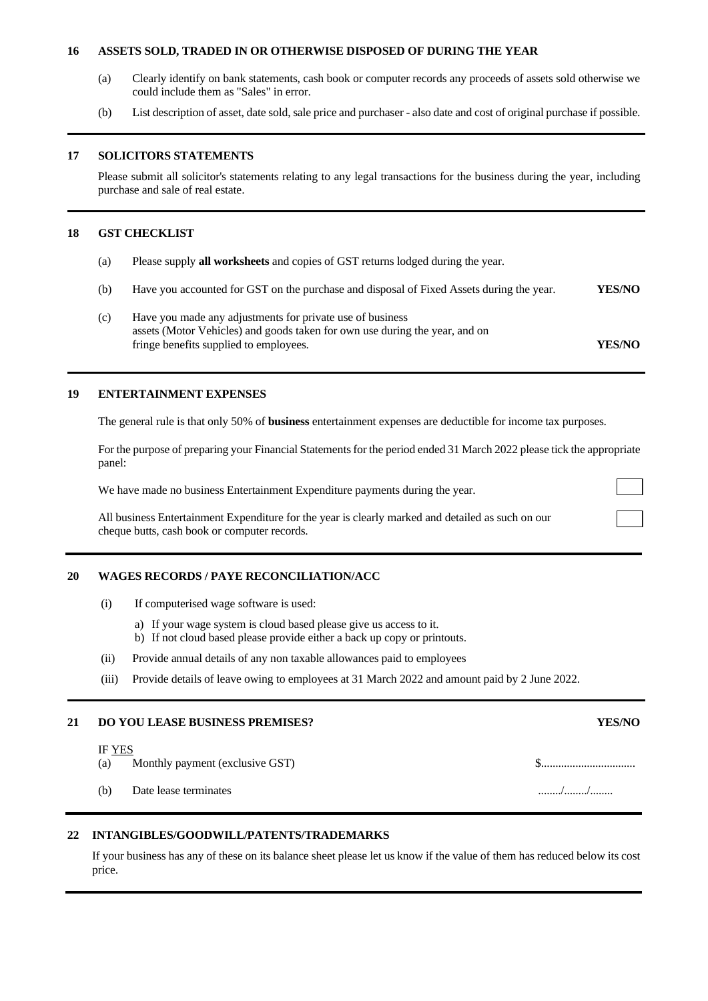#### **16 ASSETS SOLD, TRADED IN OR OTHERWISE DISPOSED OF DURING THE YEAR**

- (a) Clearly identify on bank statements, cash book or computer records any proceeds of assets sold otherwise we could include them as "Sales" in error.
- (b) List description of asset, date sold, sale price and purchaser also date and cost of original purchase if possible.

#### **17 SOLICITORS STATEMENTS**

Please submit all solicitor's statements relating to any legal transactions for the business during the year, including purchase and sale of real estate.

#### **18 GST CHECKLIST**

- (a) Please supply **all worksheets** and copies of GST returns lodged during the year.
- (b) Have you accounted for GST on the purchase and disposal of Fixed Assets during the year. **YES/NO**
- (c) Have you made any adjustments for private use of business assets (Motor Vehicles) and goods taken for own use during the year, and on fringe benefits supplied to employees. **YES/NO**

#### **19 ENTERTAINMENT EXPENSES**

The general rule is that only 50% of **business** entertainment expenses are deductible for income tax purposes.

For the purpose of preparing your Financial Statements for the period ended 31 March 2022 please tick the appropriate panel:

We have made no business Entertainment Expenditure payments during the year.

All business Entertainment Expenditure for the year is clearly marked and detailed as such on our cheque butts, cash book or computer records.

#### **20 WAGES RECORDS / PAYE RECONCILIATION/ACC**

- (i) If computerised wage software is used:
	- a) If your wage system is cloud based please give us access to it.
	- b) If not cloud based please provide either a back up copy or printouts.
- (ii) Provide annual details of any non taxable allowances paid to employees
- (iii) Provide details of leave owing to employees at 31 March 2022 and amount paid by 2 June 2022.

#### **21 DO YOU LEASE BUSINESS PREMISES? YES/NO**

#### IF YES

- (a) Monthly payment (exclusive GST) \$.................................
- (b) Date lease terminates ......../......../........

#### **22 INTANGIBLES/GOODWILL/PATENTS/TRADEMARKS**

If your business has any of these on its balance sheet please let us know if the value of them has reduced below its cost price.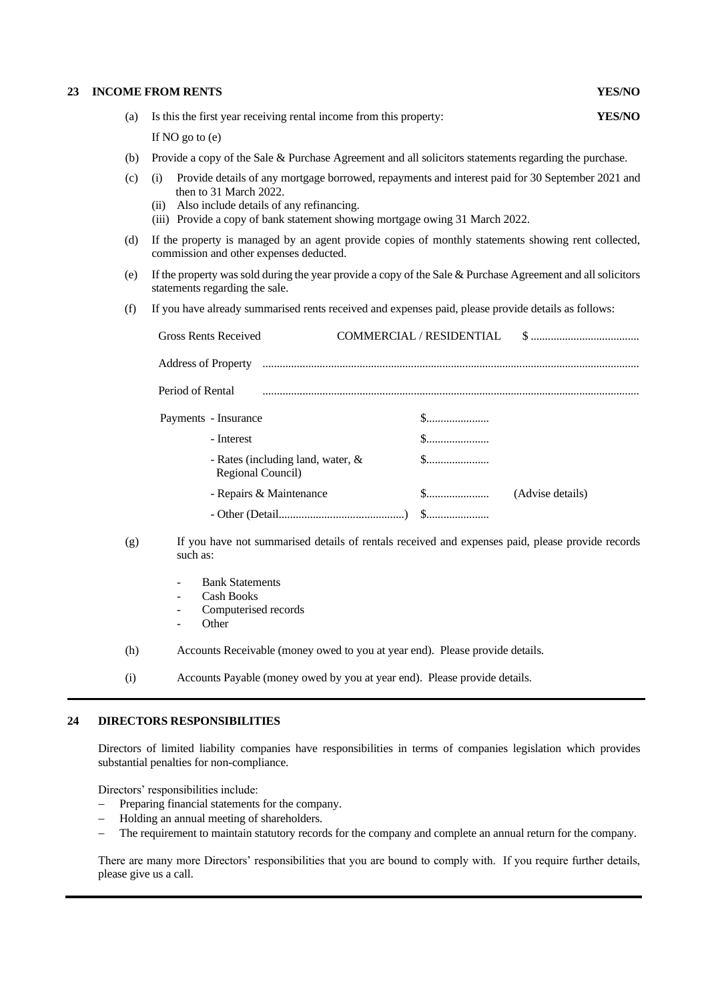#### **23 INCOME FROM RENTS**

| YES/NO |
|--------|
|--------|

| <b>YES/NO</b><br>(a) Is this the first year receiving rental income from this property: |  |  |  |
|-----------------------------------------------------------------------------------------|--|--|--|
| If $N\Omega$ as to $(\alpha)$                                                           |  |  |  |

If NO go to (e)

- (b) Provide a copy of the Sale & Purchase Agreement and all solicitors statements regarding the purchase.
- (c) (i) Provide details of any mortgage borrowed, repayments and interest paid for 30 September 2021 and then to 31 March 2022.
	- (ii) Also include details of any refinancing.
	- (iii) Provide a copy of bank statement showing mortgage owing 31 March 2022.
- (d) If the property is managed by an agent provide copies of monthly statements showing rent collected, commission and other expenses deducted.
- (e) If the property was sold during the year provide a copy of the Sale & Purchase Agreement and all solicitors statements regarding the sale.
- (f) If you have already summarised rents received and expenses paid, please provide details as follows:

| Gross Rents Received                                                                                                                                                                                                                | COMMERCIAL / RESIDENTIAL |                  |
|-------------------------------------------------------------------------------------------------------------------------------------------------------------------------------------------------------------------------------------|--------------------------|------------------|
| Address of Property manufactured contains and a state of Property manufactured contains and a state of Property                                                                                                                     |                          |                  |
| Period of Rental <i>manufacture communication</i> and the contract of Rental and the contract of Rental and the contract of the contract of the contract of Rental and the contract of the contract of the contract of Rental and t |                          |                  |
| Payments - Insurance                                                                                                                                                                                                                |                          |                  |
| - Interest                                                                                                                                                                                                                          |                          |                  |
| - Rates (including land, water, &<br>Regional Council)                                                                                                                                                                              |                          |                  |
| - Repairs & Maintenance                                                                                                                                                                                                             | \$                       | (Advise details) |
|                                                                                                                                                                                                                                     |                          |                  |

- (g) If you have not summarised details of rentals received and expenses paid, please provide records such as:
	- Bank Statements
	- Cash Books
	- Computerised records
	- **Other**
- (h) Accounts Receivable (money owed to you at year end). Please provide details.
- (i) Accounts Payable (money owed by you at year end). Please provide details.

#### **24 DIRECTORS RESPONSIBILITIES**

Directors of limited liability companies have responsibilities in terms of companies legislation which provides substantial penalties for non-compliance.

Directors' responsibilities include:

- Preparing financial statements for the company.
- Holding an annual meeting of shareholders.
- The requirement to maintain statutory records for the company and complete an annual return for the company.

There are many more Directors' responsibilities that you are bound to comply with. If you require further details, please give us a call.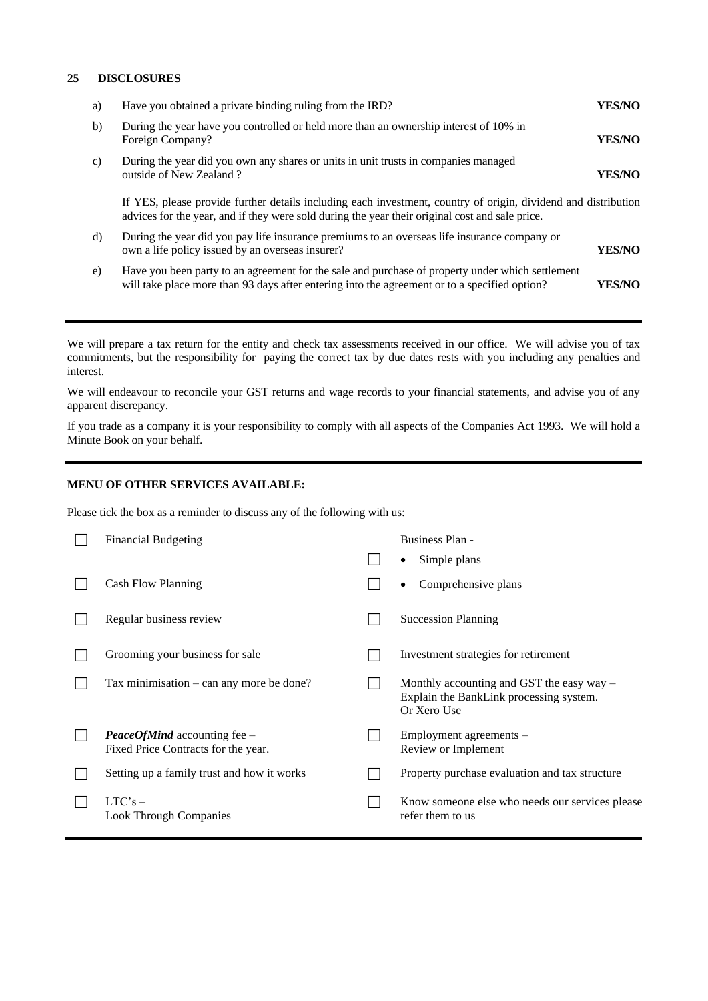#### **25 DISCLOSURES**

| Have you obtained a private binding ruling from the IRD?                                                                                                                                          | YES/NO                                                                                                         |
|---------------------------------------------------------------------------------------------------------------------------------------------------------------------------------------------------|----------------------------------------------------------------------------------------------------------------|
| During the year have you controlled or held more than an ownership interest of 10% in<br>Foreign Company?                                                                                         | <b>YES/NO</b>                                                                                                  |
| During the year did you own any shares or units in unit trusts in companies managed<br>outside of New Zealand?                                                                                    | <b>YES/NO</b>                                                                                                  |
| advices for the year, and if they were sold during the year their original cost and sale price.                                                                                                   |                                                                                                                |
| During the year did you pay life insurance premiums to an overseas life insurance company or<br>own a life policy issued by an overseas insurer?                                                  | YES/NO                                                                                                         |
| Have you been party to an agreement for the sale and purchase of property under which settlement<br>will take place more than 93 days after entering into the agreement or to a specified option? | YES/NO                                                                                                         |
|                                                                                                                                                                                                   | If YES, please provide further details including each investment, country of origin, dividend and distribution |

We will prepare a tax return for the entity and check tax assessments received in our office. We will advise you of tax commitments, but the responsibility for paying the correct tax by due dates rests with you including any penalties and interest.

We will endeavour to reconcile your GST returns and wage records to your financial statements, and advise you of any apparent discrepancy.

If you trade as a company it is your responsibility to comply with all aspects of the Companies Act 1993. We will hold a Minute Book on your behalf.

#### **MENU OF OTHER SERVICES AVAILABLE:**

Please tick the box as a reminder to discuss any of the following with us:

| <b>Financial Budgeting</b>                                                   | Business Plan -                                                                                       |
|------------------------------------------------------------------------------|-------------------------------------------------------------------------------------------------------|
|                                                                              | Simple plans                                                                                          |
| Cash Flow Planning                                                           | Comprehensive plans<br>٠                                                                              |
| Regular business review                                                      | <b>Succession Planning</b>                                                                            |
| Grooming your business for sale                                              | Investment strategies for retirement                                                                  |
| Tax minimisation $-\text{can}$ any more be done?                             | Monthly accounting and GST the easy $way -$<br>Explain the BankLink processing system.<br>Or Xero Use |
| <b>PeaceOfMind</b> accounting fee $-$<br>Fixed Price Contracts for the year. | Employment agreements -<br>Review or Implement                                                        |
| Setting up a family trust and how it works                                   | Property purchase evaluation and tax structure                                                        |
| $LTC's -$<br><b>Look Through Companies</b>                                   | Know someone else who needs our services please<br>refer them to us                                   |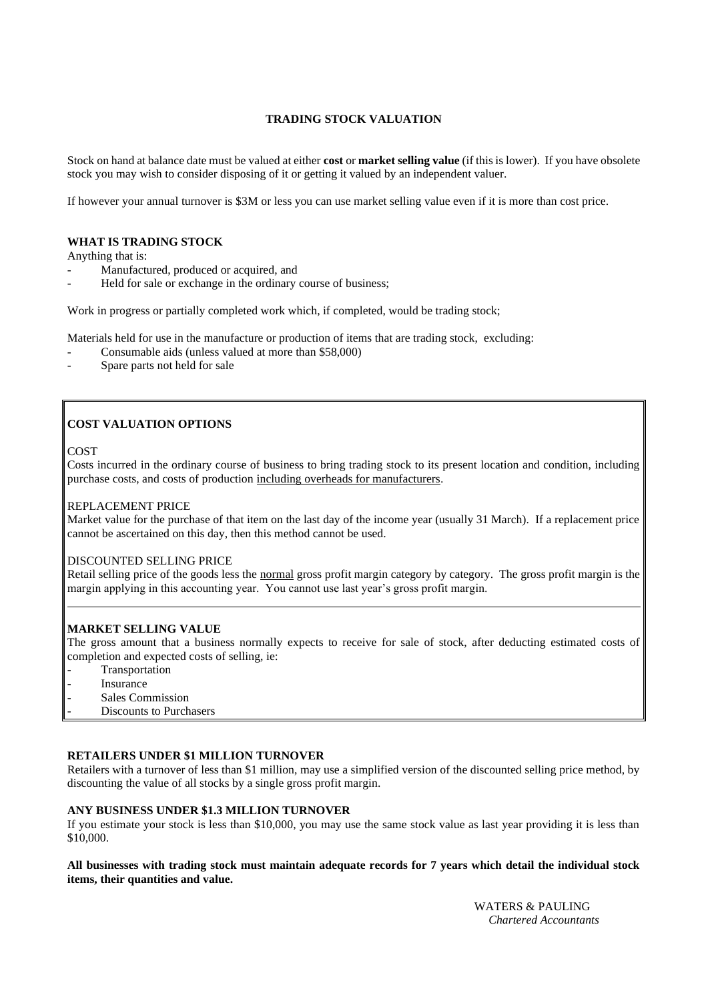# **TRADING STOCK VALUATION**

Stock on hand at balance date must be valued at either **cost** or **market selling value** (if this is lower). If you have obsolete stock you may wish to consider disposing of it or getting it valued by an independent valuer.

If however your annual turnover is \$3M or less you can use market selling value even if it is more than cost price.

#### **WHAT IS TRADING STOCK**

Anything that is:

- Manufactured, produced or acquired, and
- Held for sale or exchange in the ordinary course of business;

Work in progress or partially completed work which, if completed, would be trading stock;

Materials held for use in the manufacture or production of items that are trading stock, excluding:

- Consumable aids (unless valued at more than \$58,000)
- Spare parts not held for sale

# **COST VALUATION OPTIONS**

#### COST

Costs incurred in the ordinary course of business to bring trading stock to its present location and condition, including purchase costs, and costs of production including overheads for manufacturers.

#### REPLACEMENT PRICE

Market value for the purchase of that item on the last day of the income year (usually 31 March). If a replacement price cannot be ascertained on this day, then this method cannot be used.

#### DISCOUNTED SELLING PRICE

Retail selling price of the goods less the normal gross profit margin category by category. The gross profit margin is the margin applying in this accounting year. You cannot use last year's gross profit margin.

#### **MARKET SELLING VALUE**

The gross amount that a business normally expects to receive for sale of stock, after deducting estimated costs of completion and expected costs of selling, ie:

- **Transportation**
- **Insurance**
- Sales Commission
- Discounts to Purchasers

#### **RETAILERS UNDER \$1 MILLION TURNOVER**

Retailers with a turnover of less than \$1 million, may use a simplified version of the discounted selling price method, by discounting the value of all stocks by a single gross profit margin.

#### **ANY BUSINESS UNDER \$1.3 MILLION TURNOVER**

If you estimate your stock is less than \$10,000, you may use the same stock value as last year providing it is less than \$10,000.

#### **All businesses with trading stock must maintain adequate records for 7 years which detail the individual stock items, their quantities and value.**

 WATERS & PAULING *Chartered Accountants*